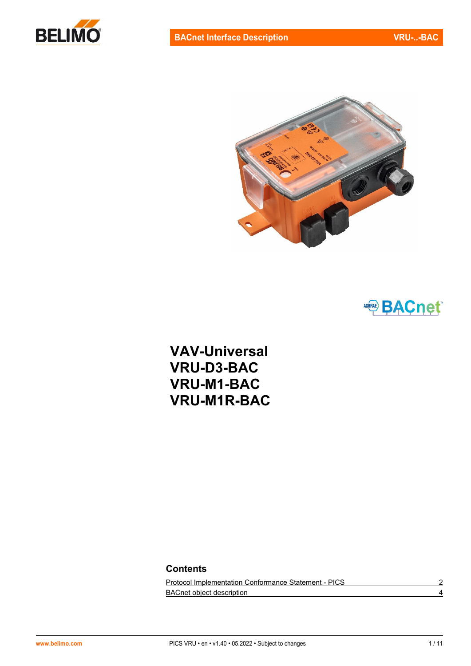





**VAV-Universal VRU-D3-BAC VRU-M1-BAC VRU-M1R-BAC**

## **Contents**

[Protocol Implementation Conformance Statement -](#page-1-0) PICS 2 [BACnet object description](#page-3-0) 4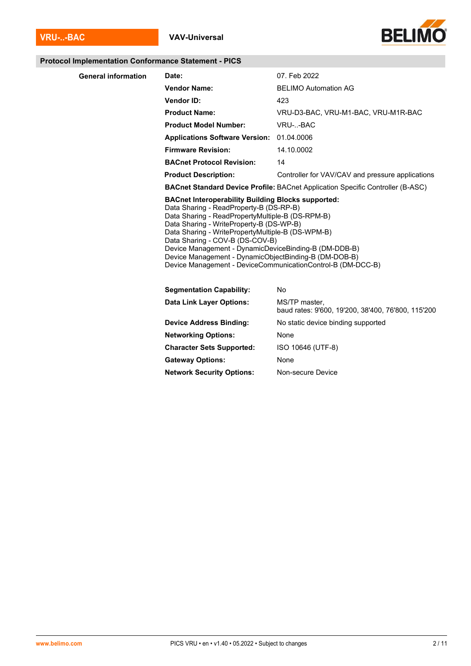

#### <span id="page-1-0"></span>**Protocol Implementation Conformance Statement - PICS**

| <b>General information</b> | Date:                                                                                                                                                                                                                                                                                                                                                                                                          | 07. Feb 2022                                                                          |  |  |  |  |
|----------------------------|----------------------------------------------------------------------------------------------------------------------------------------------------------------------------------------------------------------------------------------------------------------------------------------------------------------------------------------------------------------------------------------------------------------|---------------------------------------------------------------------------------------|--|--|--|--|
|                            | <b>Vendor Name:</b>                                                                                                                                                                                                                                                                                                                                                                                            | <b>BELIMO Automation AG</b>                                                           |  |  |  |  |
|                            | Vendor ID:                                                                                                                                                                                                                                                                                                                                                                                                     | 423                                                                                   |  |  |  |  |
|                            | <b>Product Name:</b>                                                                                                                                                                                                                                                                                                                                                                                           | VRU-D3-BAC, VRU-M1-BAC, VRU-M1R-BAC                                                   |  |  |  |  |
|                            | <b>Product Model Number:</b>                                                                                                                                                                                                                                                                                                                                                                                   | VRU--BAC                                                                              |  |  |  |  |
|                            | <b>Applications Software Version:</b>                                                                                                                                                                                                                                                                                                                                                                          | 01.04.0006                                                                            |  |  |  |  |
|                            | <b>Firmware Revision:</b>                                                                                                                                                                                                                                                                                                                                                                                      | 14.10.0002                                                                            |  |  |  |  |
|                            | <b>BACnet Protocol Revision:</b>                                                                                                                                                                                                                                                                                                                                                                               | 14                                                                                    |  |  |  |  |
|                            | <b>Product Description:</b>                                                                                                                                                                                                                                                                                                                                                                                    | Controller for VAV/CAV and pressure applications                                      |  |  |  |  |
|                            |                                                                                                                                                                                                                                                                                                                                                                                                                | <b>BACnet Standard Device Profile: BACnet Application Specific Controller (B-ASC)</b> |  |  |  |  |
|                            | <b>BACnet Interoperability Building Blocks supported:</b><br>Data Sharing - ReadProperty-B (DS-RP-B)<br>Data Sharing - ReadPropertyMultiple-B (DS-RPM-B)<br>Data Sharing - WriteProperty-B (DS-WP-B)<br>Data Sharing - WritePropertyMultiple-B (DS-WPM-B)<br>Data Sharing - COV-B (DS-COV-B)<br>Device Management - DynamicDeviceBinding-B (DM-DDB-B)<br>Device Management - DynamicObjectBinding-B (DM-DOB-B) | Device Management - DeviceCommunicationControl-B (DM-DCC-B)                           |  |  |  |  |
|                            | <b>Segmentation Capability:</b>                                                                                                                                                                                                                                                                                                                                                                                | No                                                                                    |  |  |  |  |
|                            | <b>Data Link Layer Options:</b>                                                                                                                                                                                                                                                                                                                                                                                | MS/TP master.<br>baud rates: 9'600, 19'200, 38'400, 76'800, 115'200                   |  |  |  |  |
|                            | <b>Device Address Binding:</b>                                                                                                                                                                                                                                                                                                                                                                                 | No static device binding supported                                                    |  |  |  |  |
|                            | <b>Networking Options:</b>                                                                                                                                                                                                                                                                                                                                                                                     | None                                                                                  |  |  |  |  |
|                            | <b>Character Sets Supported:</b>                                                                                                                                                                                                                                                                                                                                                                               | ISO 10646 (UTF-8)                                                                     |  |  |  |  |
|                            | <b>Gateway Options:</b>                                                                                                                                                                                                                                                                                                                                                                                        | None                                                                                  |  |  |  |  |

**Network Security Options:** Non-secure Device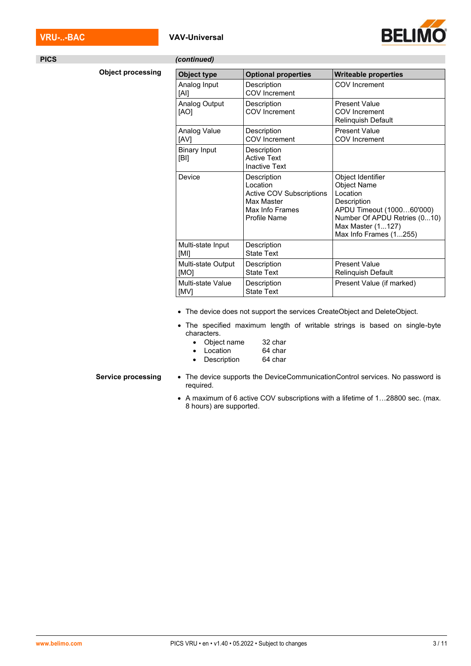### **VRU-..-BAC VAV-Universal**



| <b>PICS</b> |                          | (continued)                 |                                                                                                             |                                                                                                                                                                                |
|-------------|--------------------------|-----------------------------|-------------------------------------------------------------------------------------------------------------|--------------------------------------------------------------------------------------------------------------------------------------------------------------------------------|
|             | <b>Object processing</b> | Object type                 | <b>Optional properties</b>                                                                                  | <b>Writeable properties</b>                                                                                                                                                    |
|             |                          | Analog Input<br>[Al]        | Description<br>COV Increment                                                                                | COV Increment                                                                                                                                                                  |
|             |                          | Analog Output<br>[AO]       | Description<br><b>COV</b> Increment                                                                         | <b>Present Value</b><br><b>COV</b> Increment<br>Relinquish Default                                                                                                             |
|             |                          | Analog Value<br>[AV]        | Description<br><b>COV</b> Increment                                                                         | <b>Present Value</b><br><b>COV</b> Increment                                                                                                                                   |
|             |                          | <b>Binary Input</b><br>[BI] | Description<br><b>Active Text</b><br><b>Inactive Text</b>                                                   |                                                                                                                                                                                |
|             |                          | Device                      | Description<br>Location<br><b>Active COV Subscriptions</b><br>Max Master<br>Max Info Frames<br>Profile Name | Object Identifier<br><b>Object Name</b><br>Location<br>Description<br>APDU Timeout (100060'000)<br>Number Of APDU Retries (010)<br>Max Master (1127)<br>Max Info Frames (1255) |
|             |                          | Multi-state Input<br>[M]    | Description<br><b>State Text</b>                                                                            |                                                                                                                                                                                |
|             |                          | Multi-state Output<br>[MO]  | Description<br><b>State Text</b>                                                                            | <b>Present Value</b><br>Relinquish Default                                                                                                                                     |
|             |                          | Multi-state Value<br>[MV]   | Description<br><b>State Text</b>                                                                            | Present Value (if marked)                                                                                                                                                      |
|             |                          |                             |                                                                                                             |                                                                                                                                                                                |

- The device does not support the services CreateObject and DeleteObject.
- The specified maximum length of writable strings is based on single-byte characters.
	- Object name 32 char
	-
	- Location 64 char<br>• Description 64 char • Description

- **Service processing** The device supports the DeviceCommunicationControl services. No password is required.
	- A maximum of 6 active COV subscriptions with a lifetime of 1…28800 sec. (max. 8 hours) are supported.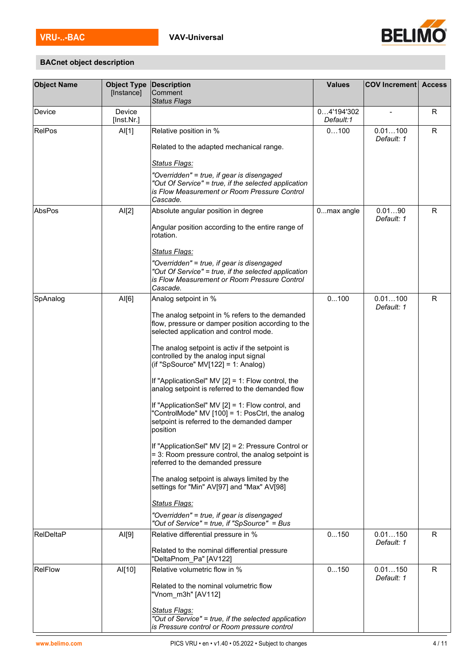

# <span id="page-3-0"></span>**BACnet object description**

| <b>Object Name</b> | <b>Object Type</b><br>[Instance] | <b>Description</b><br>Comment<br><b>Status Flags</b>                                                                                                            | <b>Values</b>           | <b>COV Increment</b>  | <b>Access</b> |
|--------------------|----------------------------------|-----------------------------------------------------------------------------------------------------------------------------------------------------------------|-------------------------|-----------------------|---------------|
| Device             | Device<br>[Inst.Nr.]             |                                                                                                                                                                 | 04'194'302<br>Default:1 |                       | R             |
| <b>RelPos</b>      | AI[1]                            | Relative position in %<br>Related to the adapted mechanical range.                                                                                              | 0100                    | 0.01100<br>Default: 1 | R             |
|                    |                                  | <b>Status Flags:</b>                                                                                                                                            |                         |                       |               |
|                    |                                  | "Overridden" = true, if gear is disengaged<br>"Out Of Service" = true, if the selected application<br>is Flow Measurement or Room Pressure Control<br>Cascade.  |                         |                       |               |
| AbsPos             | AI[2]                            | Absolute angular position in degree                                                                                                                             | 0max angle              | 0.0190<br>Default: 1  | R.            |
|                    |                                  | Angular position according to the entire range of<br>rotation.                                                                                                  |                         |                       |               |
|                    |                                  | <b>Status Flags:</b>                                                                                                                                            |                         |                       |               |
|                    |                                  | "Overridden" = true, if gear is disengaged<br>"Out Of Service" = true, if the selected application<br>is Flow Measurement or Room Pressure Control<br>Cascade.  |                         |                       |               |
| SpAnalog           | AI[6]                            | Analog setpoint in %                                                                                                                                            | 0100                    | 0.01100<br>Default: 1 | R             |
|                    |                                  | The analog setpoint in % refers to the demanded<br>flow, pressure or damper position according to the<br>selected application and control mode.                 |                         |                       |               |
|                    |                                  | The analog setpoint is activ if the setpoint is<br>controlled by the analog input signal<br>(if "SpSource" $MV[122] = 1$ : Analog)                              |                         |                       |               |
|                    |                                  | If "ApplicationSel" MV [2] = 1: Flow control, the<br>analog setpoint is referred to the demanded flow                                                           |                         |                       |               |
|                    |                                  | If "ApplicationSel" MV [2] = 1: Flow control, and<br>"ControlMode" MV [100] = 1: PosCtrl, the analog<br>setpoint is referred to the demanded damper<br>position |                         |                       |               |
|                    |                                  | If "ApplicationSel" MV [2] = 2: Pressure Control or<br>$=$ 3: Room pressure control, the analog setpoint is<br>referred to the demanded pressure                |                         |                       |               |
|                    |                                  | The analog setpoint is always limited by the<br>settings for "Min" AV[97] and "Max" AV[98]                                                                      |                         |                       |               |
|                    |                                  | <b>Status Flags:</b>                                                                                                                                            |                         |                       |               |
|                    |                                  | "Overridden" = true, if gear is disengaged<br>"Out of Service" = true, if "SpSource" = Bus                                                                      |                         |                       |               |
| RelDeltaP          | AI[9]                            | Relative differential pressure in %                                                                                                                             | 0150                    | 0.01150<br>Default: 1 | R             |
|                    |                                  | Related to the nominal differential pressure<br>"DeltaPnom_Pa" [AV122]                                                                                          |                         |                       |               |
| <b>RelFlow</b>     | Al[10]                           | Relative volumetric flow in %<br>Related to the nominal volumetric flow                                                                                         | 0150                    | 0.01150<br>Default: 1 | R.            |
|                    |                                  | "Vnom m3h" [AV112]                                                                                                                                              |                         |                       |               |
|                    |                                  | <b>Status Flags:</b><br>"Out of Service" = true, if the selected application<br>is Pressure control or Room pressure control                                    |                         |                       |               |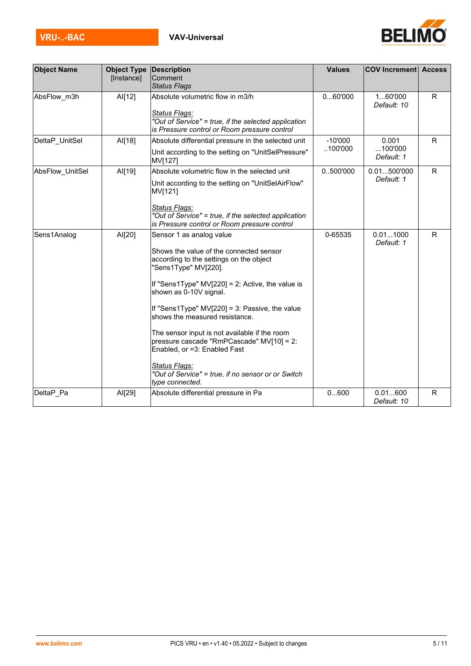

| <b>Object Name</b>     | <b>Object Type</b><br>[Instance] | Description<br>Comment                                                                                                                                                                                                                                                                                                                                                                                                                                                                                                              | <b>Values</b>         | <b>COV Increment Access</b>    |              |
|------------------------|----------------------------------|-------------------------------------------------------------------------------------------------------------------------------------------------------------------------------------------------------------------------------------------------------------------------------------------------------------------------------------------------------------------------------------------------------------------------------------------------------------------------------------------------------------------------------------|-----------------------|--------------------------------|--------------|
|                        |                                  | <b>Status Flags</b>                                                                                                                                                                                                                                                                                                                                                                                                                                                                                                                 |                       |                                |              |
| AbsFlow_m3h            | AI[12]                           | Absolute volumetric flow in m3/h<br>Status Flags:<br>"Out of Service" = true, if the selected application<br>is Pressure control or Room pressure control                                                                                                                                                                                                                                                                                                                                                                           | 060'000               | 160'000<br>Default: 10         | $\mathsf{R}$ |
| DeltaP_UnitSel         | AI[18]                           | Absolute differential pressure in the selected unit<br>Unit according to the setting on "UnitSelPressure"<br>MV[127]                                                                                                                                                                                                                                                                                                                                                                                                                | $-10'000$<br>.100'000 | 0.001<br>100'000<br>Default: 1 | $\mathsf{R}$ |
| <b>AbsFlow UnitSel</b> | Al[19]                           | Absolute volumetric flow in the selected unit<br>Unit according to the setting on "UnitSelAirFlow"<br>MV[121]<br>Status Flags:<br>"Out of Service" = true, if the selected application<br>is Pressure control or Room pressure control                                                                                                                                                                                                                                                                                              | 0500'000              | 0.01500'000<br>Default: 1      | R            |
| Sens1Analog            | AI[20]                           | Sensor 1 as analog value<br>Shows the value of the connected sensor<br>according to the settings on the object<br>"Sens1Type" MV[220].<br>If "Sens1Type" MV[220] = 2: Active, the value is<br>shown as 0-10V signal.<br>If "Sens1Type" $MV[220] = 3$ : Passive, the value<br>shows the measured resistance.<br>The sensor input is not available if the room<br>pressure cascade "RmPCascade" MV[10] = 2:<br>Enabled, or =3: Enabled Fast<br>Status Flags:<br>"Out of Service" = true, if no sensor or or Switch<br>type connected. | 0-65535               | 0.011000<br>Default: 1         | R            |
| DeltaP Pa              | AI[29]                           | Absolute differential pressure in Pa                                                                                                                                                                                                                                                                                                                                                                                                                                                                                                | 0600                  | 0.01600<br>Default: 10         | R            |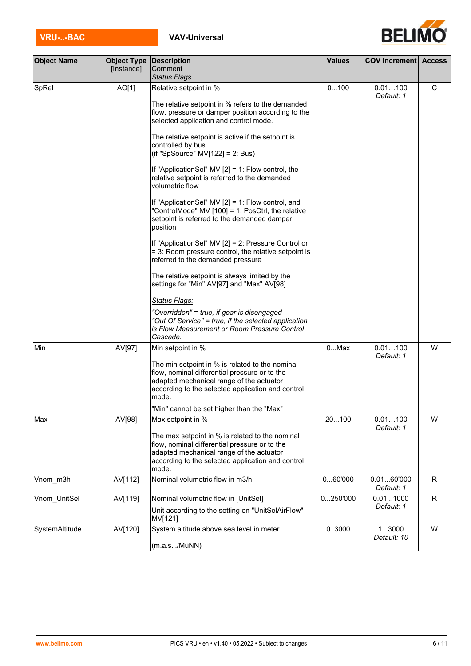| VRU--BA | <b>VAV-Universal</b> |
|---------|----------------------|

[Instance]

**Description Comment** *Status Flags*

**Object Name** 

| SpRel          | AO[1]   | Relative setpoint in %                                                                                                                                                                                     | 0100     | 0.01100<br>Default: 1    | С |
|----------------|---------|------------------------------------------------------------------------------------------------------------------------------------------------------------------------------------------------------------|----------|--------------------------|---|
|                |         | The relative setpoint in % refers to the demanded<br>flow, pressure or damper position according to the<br>selected application and control mode.                                                          |          |                          |   |
|                |         | The relative setpoint is active if the setpoint is<br>controlled by bus<br>(if "SpSource" $MV[122] = 2$ : Bus)                                                                                             |          |                          |   |
|                |         | If "ApplicationSel" MV $[2] = 1$ : Flow control, the<br>relative setpoint is referred to the demanded<br>volumetric flow                                                                                   |          |                          |   |
|                |         | If "ApplicationSel" MV [2] = 1: Flow control, and<br>"ControlMode" MV [100] = 1: PosCtrl, the relative<br>setpoint is referred to the demanded damper<br>position                                          |          |                          |   |
|                |         | If "ApplicationSel" MV [2] = 2: Pressure Control or<br>= 3: Room pressure control, the relative setpoint is<br>referred to the demanded pressure                                                           |          |                          |   |
|                |         | The relative setpoint is always limited by the<br>settings for "Min" AV[97] and "Max" AV[98]                                                                                                               |          |                          |   |
|                |         | Status Flags:                                                                                                                                                                                              |          |                          |   |
|                |         | "Overridden" = true, if gear is disengaged<br>"Out Of Service" = true, if the selected application<br>is Flow Measurement or Room Pressure Control<br>Cascade.                                             |          |                          |   |
| Min            | AV[97]  | Min setpoint in %                                                                                                                                                                                          | $0$ Max  | 0.01100<br>Default: 1    | W |
|                |         | The min setpoint in % is related to the nominal<br>flow, nominal differential pressure or to the<br>adapted mechanical range of the actuator<br>according to the selected application and control<br>mode. |          |                          |   |
|                |         | "Min" cannot be set higher than the "Max"                                                                                                                                                                  |          |                          |   |
| Max            | AV[98]  | Max setpoint in %                                                                                                                                                                                          | 20100    | 0.01100<br>Default: 1    | W |
|                |         | The max setpoint in % is related to the nominal<br>flow, nominal differential pressure or to the<br>adapted mechanical range of the actuator<br>according to the selected application and control<br>mode. |          |                          |   |
| Vnom_m3h       | AV[112] | Nominal volumetric flow in m3/h                                                                                                                                                                            | 060'000  | 0.0160'000<br>Default: 1 | R |
| Vnom_UnitSel   | AV[119] | Nominal volumetric flow in [UnitSel]                                                                                                                                                                       | 0250'000 | 0.011000                 | R |
|                |         | Unit according to the setting on "UnitSelAirFlow"<br>MV[121]                                                                                                                                               |          | Default: 1               |   |
| SystemAltitude | AV[120] | System altitude above sea level in meter                                                                                                                                                                   | 03000    | 13000<br>Default: 10     | W |
|                |         | (m.a.s.l./MüNN)                                                                                                                                                                                            |          |                          |   |



**Values COV Increment Access**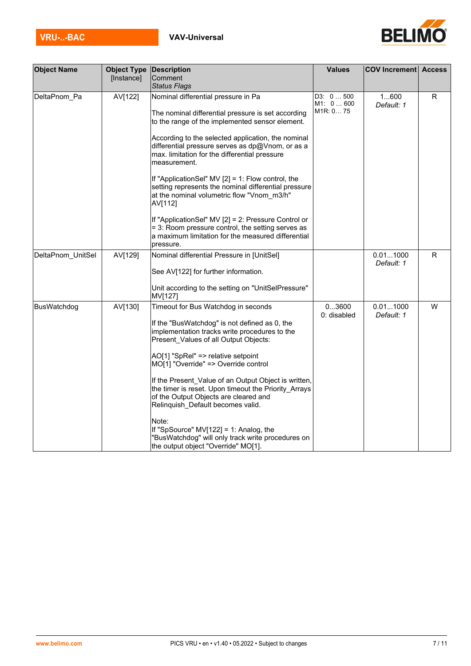

| <b>Object Name</b> | <b>Object Type Description</b><br>[Instance] | Comment<br><b>Status Flags</b>                                                                                                                                                                                                                                                                                                                                                                                                                                                                                                                                                                            | <b>Values</b>                                 | <b>COV Increment Access</b> |   |
|--------------------|----------------------------------------------|-----------------------------------------------------------------------------------------------------------------------------------------------------------------------------------------------------------------------------------------------------------------------------------------------------------------------------------------------------------------------------------------------------------------------------------------------------------------------------------------------------------------------------------------------------------------------------------------------------------|-----------------------------------------------|-----------------------------|---|
| DeltaPnom_Pa       | AV[122]                                      | Nominal differential pressure in Pa<br>The nominal differential pressure is set according<br>to the range of the implemented sensor element.                                                                                                                                                                                                                                                                                                                                                                                                                                                              | D3: 0500<br>M1: 0600<br>M <sub>1R</sub> : 075 | 1600<br>Default: 1          | R |
|                    |                                              | According to the selected application, the nominal<br>differential pressure serves as dp@Vnom, or as a<br>max. limitation for the differential pressure<br>measurement.                                                                                                                                                                                                                                                                                                                                                                                                                                   |                                               |                             |   |
|                    |                                              | If "ApplicationSel" MV $[2] = 1$ : Flow control, the<br>setting represents the nominal differential pressure<br>at the nominal volumetric flow "Vnom m3/h"<br>AV[112]                                                                                                                                                                                                                                                                                                                                                                                                                                     |                                               |                             |   |
|                    |                                              | If "ApplicationSel" MV [2] = 2: Pressure Control or<br>= 3: Room pressure control, the setting serves as<br>a maximum limitation for the measured differential<br>pressure.                                                                                                                                                                                                                                                                                                                                                                                                                               |                                               |                             |   |
| DeltaPnom_UnitSel  | AV[129]                                      | Nominal differential Pressure in [UnitSel]<br>See AV[122] for further information.                                                                                                                                                                                                                                                                                                                                                                                                                                                                                                                        |                                               | 0.011000<br>Default: 1      | R |
|                    |                                              | Unit according to the setting on "UnitSelPressure"<br>MV[127]                                                                                                                                                                                                                                                                                                                                                                                                                                                                                                                                             |                                               |                             |   |
| BusWatchdog        | AV[130]                                      | Timeout for Bus Watchdog in seconds<br>If the "BusWatchdog" is not defined as 0, the<br>implementation tracks write procedures to the<br>Present Values of all Output Objects:<br>AO[1] "SpRel" => relative setpoint<br>MO[1] "Override" => Override control<br>If the Present Value of an Output Object is written,<br>the timer is reset. Upon timeout the Priority Arrays<br>of the Output Objects are cleared and<br>Relinquish_Default becomes valid.<br>Note:<br>If "SpSource" MV[122] = 1: Analog, the<br>"BusWatchdog" will only track write procedures on<br>the output object "Override" MO[1]. | 03600<br>0: disabled                          | 0.011000<br>Default: 1      | W |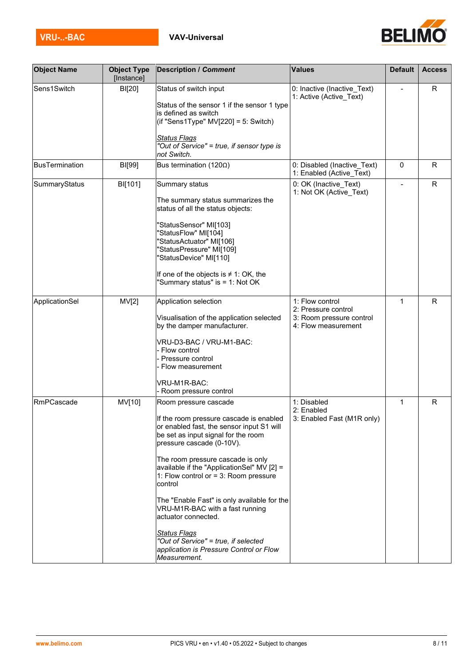

| <b>Object Name</b>    | <b>Object Type</b><br>[Instance] | <b>Description / Comment</b>                                                                                                                                                                                                                                                                                                                                                                                                                                                                                                                                  | <b>Values</b>                                                                             | <b>Default</b> | <b>Access</b> |
|-----------------------|----------------------------------|---------------------------------------------------------------------------------------------------------------------------------------------------------------------------------------------------------------------------------------------------------------------------------------------------------------------------------------------------------------------------------------------------------------------------------------------------------------------------------------------------------------------------------------------------------------|-------------------------------------------------------------------------------------------|----------------|---------------|
| Sens1Switch           | BI[20]                           | Status of switch input<br>Status of the sensor 1 if the sensor 1 type<br>is defined as switch<br>(if "Sens1Type" $MV[220] = 5$ : Switch)<br><b>Status Flags</b><br>"Out of Service" = true, if sensor type is                                                                                                                                                                                                                                                                                                                                                 | 0: Inactive (Inactive_Text)<br>1: Active (Active_Text)                                    |                | R             |
|                       |                                  | not Switch.                                                                                                                                                                                                                                                                                                                                                                                                                                                                                                                                                   |                                                                                           |                |               |
| <b>BusTermination</b> | BI[99]                           | Bus termination (120Ω)                                                                                                                                                                                                                                                                                                                                                                                                                                                                                                                                        | 0: Disabled (Inactive_Text)<br>1: Enabled (Active Text)                                   | 0              | $\mathsf{R}$  |
| SummaryStatus         | BI[101]                          | Summary status<br>The summary status summarizes the<br>status of all the status objects:<br>"StatusSensor" MI[103]<br>"StatusFlow" MI[104]<br>"StatusActuator" MI[106]<br>"StatusPressure" MI[109]<br>"StatusDevice" MI[110]<br>If one of the objects is $\neq$ 1: OK, the<br>"Summary status" is = 1: Not OK                                                                                                                                                                                                                                                 | 0: OK (Inactive_Text)<br>1: Not OK (Active_Text)                                          |                | $\mathsf{R}$  |
| ApplicationSel        | MV[2]                            | Application selection<br>Visualisation of the application selected<br>by the damper manufacturer.<br>VRU-D3-BAC / VRU-M1-BAC:<br>- Flow control<br>Pressure control<br>- Flow measurement<br>VRU-M1R-BAC:<br>- Room pressure control                                                                                                                                                                                                                                                                                                                          | 1: Flow control<br>2: Pressure control<br>3: Room pressure control<br>4: Flow measurement | $\mathbf{1}$   | $\mathsf{R}$  |
| RmPCascade            | MV[10]                           | Room pressure cascade<br>If the room pressure cascade is enabled<br>or enabled fast, the sensor input S1 will<br>be set as input signal for the room<br>pressure cascade (0-10V).<br>The room pressure cascade is only<br>available if the "ApplicationSel" MV [2] =<br>1: Flow control or $=$ 3: Room pressure<br>control<br>The "Enable Fast" is only available for the<br>VRU-M1R-BAC with a fast running<br>actuator connected.<br><b>Status Flags</b><br>"Out of Service" = true, if selected<br>application is Pressure Control or Flow<br>Measurement. | 1: Disabled<br>2: Enabled<br>3: Enabled Fast (M1R only)                                   | $\mathbf{1}$   | $\mathsf{R}$  |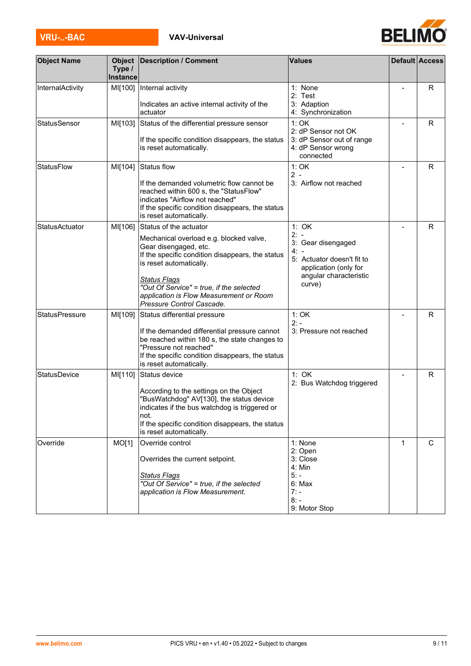| <b>VRU--BAC</b> | <b>VAV-Universal</b> |
|-----------------|----------------------|

| <b>Object Name</b>    | <b>Object</b><br>Type /<br><b>Instance</b> | <b>Description / Comment</b>                                                                                                                                                                                                                                                                                         | <b>Values</b>                                                                                                                          |              | <b>Default Access</b> |
|-----------------------|--------------------------------------------|----------------------------------------------------------------------------------------------------------------------------------------------------------------------------------------------------------------------------------------------------------------------------------------------------------------------|----------------------------------------------------------------------------------------------------------------------------------------|--------------|-----------------------|
| InternalActivity      | MI[100]                                    | Internal activity<br>Indicates an active internal activity of the<br>actuator                                                                                                                                                                                                                                        | 1: None<br>2: Test<br>3: Adaption<br>4: Synchronization                                                                                |              | R                     |
| StatusSensor          | MI[103]                                    | Status of the differential pressure sensor<br>If the specific condition disappears, the status<br>is reset automatically.                                                                                                                                                                                            | 1:OK<br>2: dP Sensor not OK<br>3: dP Sensor out of range<br>4: dP Sensor wrong<br>connected                                            |              | R                     |
| <b>StatusFlow</b>     | MI[104]                                    | Status flow<br>If the demanded volumetric flow cannot be<br>reached within 600 s, the "StatusFlow"<br>indicates "Airflow not reached"<br>If the specific condition disappears, the status<br>is reset automatically.                                                                                                 | 1:OK<br>$2 -$<br>3: Airflow not reached                                                                                                |              | R                     |
| <b>StatusActuator</b> | MI[106]                                    | Status of the actuator<br>Mechanical overload e.g. blocked valve,<br>Gear disengaged, etc.<br>If the specific condition disappears, the status<br>is reset automatically.<br><b>Status Flags</b><br>"Out Of Service" = true, if the selected<br>application is Flow Measurement or Room<br>Pressure Control Cascade. | 1: OK<br>$2: -$<br>3: Gear disengaged<br>4:<br>5: Actuator doesn't fit to<br>application (only for<br>angular characteristic<br>curve) |              | R                     |
| <b>StatusPressure</b> | MI[109]                                    | Status differential pressure<br>If the demanded differential pressure cannot<br>be reached within 180 s, the state changes to<br>"Pressure not reached"<br>If the specific condition disappears, the status<br>is reset automatically.                                                                               | 1:OK<br>$2: -$<br>3: Pressure not reached                                                                                              |              | R                     |
| <b>StatusDevice</b>   | MI[110]                                    | Status device<br>According to the settings on the Object<br>'BusWatchdog" AV[130], the status device<br>indicates if the bus watchdog is triggered or<br>not.<br>If the specific condition disappears, the status<br>is reset automatically.                                                                         | 1: OK<br>2: Bus Watchdog triggered                                                                                                     |              | R                     |
| Override              | MO[1]                                      | Override control<br>Overrides the current setpoint.<br><b>Status Flags</b><br>"Out Of Service" = true, if the selected<br>application is Flow Measurement.                                                                                                                                                           | 1: None<br>2: Open<br>3: Close<br>4: Min<br>$5: -$<br>6: Max<br>$7: -$<br>$8: -$<br>9: Motor Stop                                      | $\mathbf{1}$ | $\mathsf C$           |

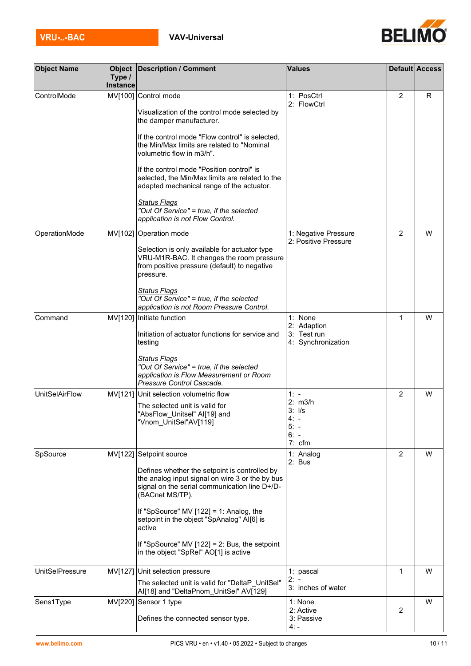

| <b>Object Name</b>     | <b>Object</b>      | <b>Description / Comment</b>                                                                                                                                         | <b>Values</b>                                    |                | Default Access |
|------------------------|--------------------|----------------------------------------------------------------------------------------------------------------------------------------------------------------------|--------------------------------------------------|----------------|----------------|
|                        | Type /<br>Instance |                                                                                                                                                                      |                                                  |                |                |
| ControlMode            |                    | MV[100] Control mode<br>Visualization of the control mode selected by<br>the damper manufacturer.                                                                    | 1: PosCtrl<br>2: FlowCtrl                        | $\overline{2}$ | R              |
|                        |                    | If the control mode "Flow control" is selected,<br>the Min/Max limits are related to "Nominal<br>volumetric flow in m3/h".                                           |                                                  |                |                |
|                        |                    | If the control mode "Position control" is<br>selected, the Min/Max limits are related to the<br>adapted mechanical range of the actuator.                            |                                                  |                |                |
|                        |                    | <u> Status Flags</u><br>"Out Of Service" = true, if the selected<br>application is not Flow Control.                                                                 |                                                  |                |                |
| OperationMode          |                    | MV[102] Operation mode                                                                                                                                               | 1: Negative Pressure<br>2: Positive Pressure     | 2              | W              |
|                        |                    | Selection is only available for actuator type<br>VRU-M1R-BAC. It changes the room pressure<br>from positive pressure (default) to negative<br>pressure.              |                                                  |                |                |
|                        |                    | <u> Status Flags</u><br>"Out Of Service" = true, if the selected<br>application is not Room Pressure Control.                                                        |                                                  |                |                |
| Command                |                    | MV[120] Initiate function                                                                                                                                            | 1: None                                          | $\mathbf{1}$   | W              |
|                        |                    | Initiation of actuator functions for service and<br>testing                                                                                                          | 2: Adaption<br>3: Test run<br>4: Synchronization |                |                |
|                        |                    | <b>Status Flags</b><br>"Out Of Service" = true, if the selected<br>application is Flow Measurement or Room<br>Pressure Control Cascade.                              |                                                  |                |                |
| <b>UnitSelAirFlow</b>  |                    | MV[121] Unit selection volumetric flow                                                                                                                               | $1: -$<br>2: m3/h                                | 2              | W              |
|                        |                    | The selected unit is valid for<br>"AbsFlow_Unitsel" Al[19] and<br>"Vnom UnitSel"AV[119]                                                                              | $3:$ $1/s$<br>4. –<br>$5: -$<br>$6: -$<br>7: cfm |                |                |
| SpSource               | MV[122]            | Setpoint source                                                                                                                                                      | 1: Analog                                        | $\overline{2}$ | W              |
|                        |                    | Defines whether the setpoint is controlled by<br>the analog input signal on wire 3 or the by bus<br>signal on the serial communication line D+/D-<br>(BACnet MS/TP). | 2: Bus                                           |                |                |
|                        |                    | If "SpSource" MV $[122] = 1$ : Analog, the<br>setpoint in the object "SpAnalog" AI[6] is<br>active                                                                   |                                                  |                |                |
|                        |                    | If "SpSource" MV [122] = 2: Bus, the setpoint<br>in the object "SpRel" AO[1] is active                                                                               |                                                  |                |                |
| <b>UnitSelPressure</b> |                    | MV[127] Unit selection pressure                                                                                                                                      | 1: pascal                                        | 1              | W              |
|                        |                    | The selected unit is valid for "DeltaP UnitSel"<br>Al[18] and "DeltaPnom_UnitSel" AV[129]                                                                            | $2: -$<br>3: inches of water                     |                |                |
| Sens1Type              | MV[220]            | Sensor 1 type                                                                                                                                                        | 1: None<br>2: Active                             | 2              | W              |
|                        |                    | Defines the connected sensor type.                                                                                                                                   | 3: Passive<br>4: -                               |                |                |